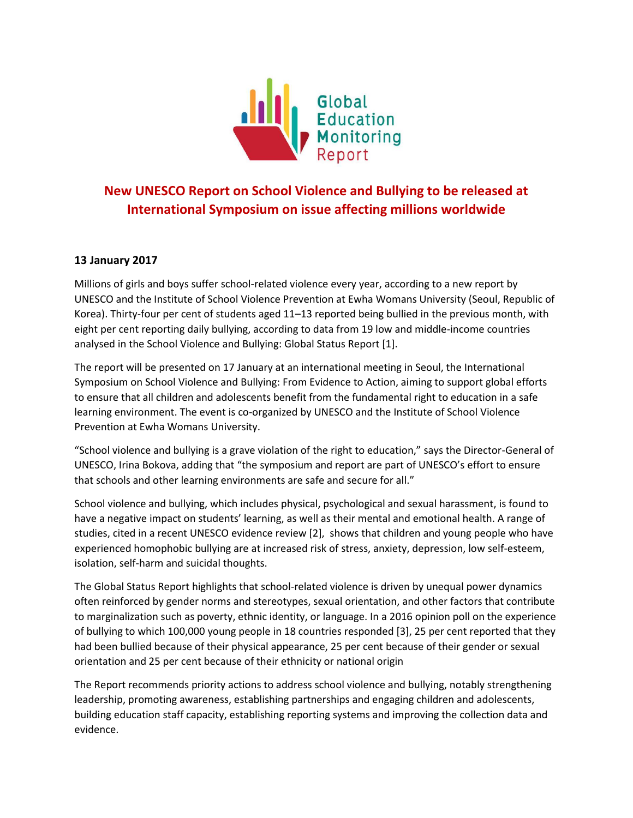

## **New UNESCO Report on School Violence and Bullying to be released at International Symposium on issue affecting millions worldwide**

## **13 January 2017**

Millions of girls and boys suffer school-related violence every year, according to a new report by UNESCO and the Institute of School Violence Prevention at Ewha Womans University (Seoul, Republic of Korea). Thirty-four per cent of students aged 11–13 reported being bullied in the previous month, with eight per cent reporting daily bullying, according to data from 19 low and middle-income countries analysed in the School Violence and Bullying: Global Status Report [1].

The report will be presented on 17 January at an international meeting in Seoul, the International Symposium on School Violence and Bullying: From Evidence to Action, aiming to support global efforts to ensure that all children and adolescents benefit from the fundamental right to education in a safe learning environment. The event is co-organized by UNESCO and the Institute of School Violence Prevention at Ewha Womans University.

"School violence and bullying is a grave violation of the right to education," says the Director-General of UNESCO, Irina Bokova, adding that "the symposium and report are part of UNESCO's effort to ensure that schools and other learning environments are safe and secure for all."

School violence and bullying, which includes physical, psychological and sexual harassment, is found to have a negative impact on students' learning, as well as their mental and emotional health. A range of studies, cited in a recent UNESCO evidence review [2], shows that children and young people who have experienced homophobic bullying are at increased risk of stress, anxiety, depression, low self-esteem, isolation, self-harm and suicidal thoughts.

The Global Status Report highlights that school-related violence is driven by unequal power dynamics often reinforced by gender norms and stereotypes, sexual orientation, and other factors that contribute to marginalization such as poverty, ethnic identity, or language. In a 2016 opinion poll on the experience of bullying to which 100,000 young people in 18 countries responded [3], 25 per cent reported that they had been bullied because of their physical appearance, 25 per cent because of their gender or sexual orientation and 25 per cent because of their ethnicity or national origin

The Report recommends priority actions to address school violence and bullying, notably strengthening leadership, promoting awareness, establishing partnerships and engaging children and adolescents, building education staff capacity, establishing reporting systems and improving the collection data and evidence.